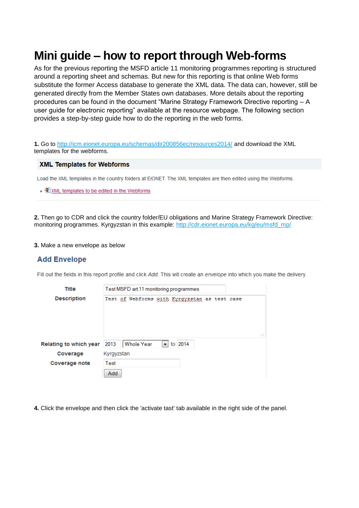# **Mini guide – how to report through Web-forms**

As for the previous reporting the MSFD article 11 monitoring programmes reporting is structured around a reporting sheet and schemas. But new for this reporting is that online Web forms substitute the former Access database to generate the XML data. The data can, however, still be generated directly from the Member States own databases. More details about the reporting procedures can be found in the document "Marine Strategy Framework Directive reporting – A user guide for electronic reporting" available at the resource webpage. The following section provides a step-by-step guide how to do the reporting in the web forms.

**1.** Go to<http://icm.eionet.europa.eu/schemas/dir200856ec/resources2014/> and download the XML templates for the webforms.

### **XML Templates for Webforms**

Load the XML templates in the country folders at EIONET. The XML templates are then edited using the Webforms.

■ 2 XML templates to be edited in the Webforms

**2.** Then go to CDR and click the country folder/EU obligations and Marine Strategy Framework Directive: monitoring programmes. Kyrgyzstan in this example: [http://cdr.eionet.europa.eu/kg/eu/msfd\\_mp/](http://cdr.eionet.europa.eu/kg/eu/msfd_mp/)

#### **3.** Make a new envelope as below

## **Add Envelope**

Fill out the fields in this report profile and click Add. This will create an envelope into which you make the delivery.

| Title                  | Test MSFD art 11 monitoring programmes |  |                                               |  |                              |  |  |  |    |
|------------------------|----------------------------------------|--|-----------------------------------------------|--|------------------------------|--|--|--|----|
| <b>Description</b>     |                                        |  | Test of Webforms with Kyrgyzstan as test case |  |                              |  |  |  |    |
|                        |                                        |  |                                               |  |                              |  |  |  |    |
|                        |                                        |  |                                               |  |                              |  |  |  |    |
|                        |                                        |  |                                               |  |                              |  |  |  |    |
|                        |                                        |  |                                               |  |                              |  |  |  | лî |
| Relating to which year | 2013                                   |  | Whole Year                                    |  | $\blacktriangledown$ to 2014 |  |  |  |    |
| Coverage               | Kyrgyzstan                             |  |                                               |  |                              |  |  |  |    |
| <b>Coverage note</b>   | Test                                   |  |                                               |  |                              |  |  |  |    |
|                        | Add                                    |  |                                               |  |                              |  |  |  |    |

**4.** Click the envelope and then click the 'activate tast' tab available in the right side of the panel.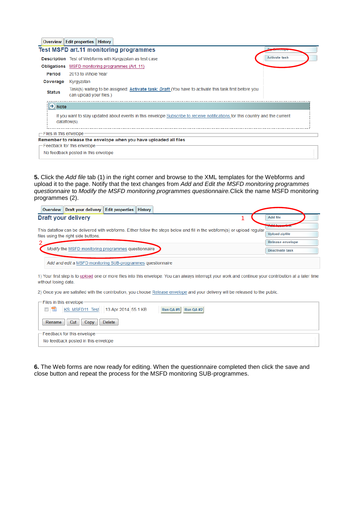| Overview                | <b>Edit properties   History</b>                                                                                                                 |                      |
|-------------------------|--------------------------------------------------------------------------------------------------------------------------------------------------|----------------------|
|                         | <b>Test MSFD art.11 monitoring programmes</b>                                                                                                    | $7$ iru              |
| <b>Description</b>      | Test of Webforms with Kyrgyzstan as test case                                                                                                    | <b>Activate task</b> |
| <b>Obligations</b>      | MSFD monitoring programmes (Art. 11)                                                                                                             |                      |
| Period                  | 2013 to Whole Year                                                                                                                               |                      |
| Coverage                | Kyrgyzstan                                                                                                                                       |                      |
| <b>Status</b>           | Task(s) waiting to be assigned: Activate task: <i>Draft</i> (You have to activate this task first before you<br>can upload your files.)          |                      |
| $\rightarrow$ Note      |                                                                                                                                                  |                      |
|                         | If you want to stay updated about events in this envelope Subscribe to receive notifications for this country and the current<br>$dataflow(s)$ . |                      |
| Files in this envelope. |                                                                                                                                                  |                      |
|                         | Remember to release the envelope when you have uploaded all files                                                                                |                      |
|                         | -Feedback for this envelope:                                                                                                                     |                      |
|                         | No feedback posted in this envelope                                                                                                              |                      |

**5.** Click the *Add file* tab (1) in the right corner and browse to the XML templates for the Webforms and upload it to the page. Notify that the text changes from *Add and Edit the MSFD monitoring programmes questionnaire* to *Modify the MSFD monitoring programmes questionnaire.*Click the name MSFD monitoring programmes (2).

| Draft your delivery   Edit properties  <br><b>Overview</b>                                                                                                      | <b>History</b>                                     |  |                  |  |
|-----------------------------------------------------------------------------------------------------------------------------------------------------------------|----------------------------------------------------|--|------------------|--|
| <b>Draft your delivery</b>                                                                                                                                      |                                                    |  | <b>Add file</b>  |  |
|                                                                                                                                                                 | محسبيل امالك<br><b>Program and Public Services</b> |  |                  |  |
| This dataflow can be delivered with webforms. Either follow the steps below and fill in the webform(s) or upload regular<br>files using the right side buttons. |                                                    |  |                  |  |
|                                                                                                                                                                 |                                                    |  | Release envelope |  |
| Modify the MSFD monitoring programmes questionnaire                                                                                                             | Deactivate task                                    |  |                  |  |
| Add and edit a MSFD monitoring SUB-programmes questionnaire                                                                                                     |                                                    |  |                  |  |

1) Your first step is to upload one or more files into this envelope. You can always interrupt your work and continue your contribution at a later time without losing data.

2) Once you are satisfied with the contribution, you choose Release envelope and your delivery will be released to the public.

| $\Gamma$ Files in this envelope-             |                     |
|----------------------------------------------|---------------------|
| KS MSFD11 Test 13 Apr 2014 55.1 KB<br>$\Box$ | Run QA #1 Run QA #2 |
| Cut<br>Delete<br>Copy<br>Rename              |                     |
| $\Gamma$ Feedback for this envelope-         |                     |
| No feedback posted in this envelope          |                     |

**6.** The Web forms are now ready for editing. When the questionnaire completed then click the save and close button and repeat the process for the MSFD monitoring SUB-programmes.